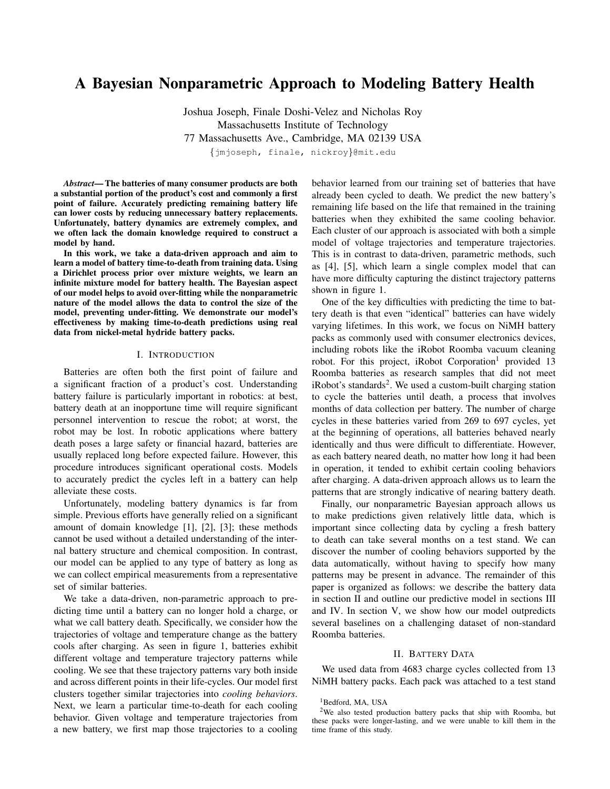# A Bayesian Nonparametric Approach to Modeling Battery Health

Joshua Joseph, Finale Doshi-Velez and Nicholas Roy Massachusetts Institute of Technology 77 Massachusetts Ave., Cambridge, MA 02139 USA *{*jmjoseph, finale, nickroy*}*@mit.edu

*Abstract*— The batteries of many consumer products are both a substantial portion of the product's cost and commonly a first point of failure. Accurately predicting remaining battery life can lower costs by reducing unnecessary battery replacements. Unfortunately, battery dynamics are extremely complex, and we often lack the domain knowledge required to construct a model by hand.

In this work, we take a data-driven approach and aim to learn a model of battery time-to-death from training data. Using a Dirichlet process prior over mixture weights, we learn an infinite mixture model for battery health. The Bayesian aspect of our model helps to avoid over-fitting while the nonparametric nature of the model allows the data to control the size of the model, preventing under-fitting. We demonstrate our model's effectiveness by making time-to-death predictions using real data from nickel-metal hydride battery packs.

## I. INTRODUCTION

Batteries are often both the first point of failure and a significant fraction of a product's cost. Understanding battery failure is particularly important in robotics: at best, battery death at an inopportune time will require significant personnel intervention to rescue the robot; at worst, the robot may be lost. In robotic applications where battery death poses a large safety or financial hazard, batteries are usually replaced long before expected failure. However, this procedure introduces significant operational costs. Models to accurately predict the cycles left in a battery can help alleviate these costs.

Unfortunately, modeling battery dynamics is far from simple. Previous efforts have generally relied on a significant amount of domain knowledge [1], [2], [3]; these methods cannot be used without a detailed understanding of the internal battery structure and chemical composition. In contrast, our model can be applied to any type of battery as long as we can collect empirical measurements from a representative set of similar batteries.

We take a data-driven, non-parametric approach to predicting time until a battery can no longer hold a charge, or what we call battery death. Specifically, we consider how the trajectories of voltage and temperature change as the battery cools after charging. As seen in figure 1, batteries exhibit different voltage and temperature trajectory patterns while cooling. We see that these trajectory patterns vary both inside and across different points in their life-cycles. Our model first clusters together similar trajectories into *cooling behaviors*. Next, we learn a particular time-to-death for each cooling behavior. Given voltage and temperature trajectories from a new battery, we first map those trajectories to a cooling behavior learned from our training set of batteries that have already been cycled to death. We predict the new battery's remaining life based on the life that remained in the training batteries when they exhibited the same cooling behavior. Each cluster of our approach is associated with both a simple model of voltage trajectories and temperature trajectories. This is in contrast to data-driven, parametric methods, such as [4], [5], which learn a single complex model that can have more difficulty capturing the distinct trajectory patterns shown in figure 1.

One of the key difficulties with predicting the time to battery death is that even "identical" batteries can have widely varying lifetimes. In this work, we focus on NiMH battery packs as commonly used with consumer electronics devices, including robots like the iRobot Roomba vacuum cleaning robot. For this project, iRobot Corporation<sup>1</sup> provided 13 Roomba batteries as research samples that did not meet iRobot's standards<sup>2</sup>. We used a custom-built charging station to cycle the batteries until death, a process that involves months of data collection per battery. The number of charge cycles in these batteries varied from 269 to 697 cycles, yet at the beginning of operations, all batteries behaved nearly identically and thus were difficult to differentiate. However, as each battery neared death, no matter how long it had been in operation, it tended to exhibit certain cooling behaviors after charging. A data-driven approach allows us to learn the patterns that are strongly indicative of nearing battery death.

Finally, our nonparametric Bayesian approach allows us to make predictions given relatively little data, which is important since collecting data by cycling a fresh battery to death can take several months on a test stand. We can discover the number of cooling behaviors supported by the data automatically, without having to specify how many patterns may be present in advance. The remainder of this paper is organized as follows: we describe the battery data in section II and outline our predictive model in sections III and IV. In section V, we show how our model outpredicts several baselines on a challenging dataset of non-standard Roomba batteries.

#### II. BATTERY DATA

We used data from 4683 charge cycles collected from 13 NiMH battery packs. Each pack was attached to a test stand

<sup>&</sup>lt;sup>1</sup>Bedford, MA, USA

<sup>2</sup>We also tested production battery packs that ship with Roomba, but these packs were longer-lasting, and we were unable to kill them in the time frame of this study.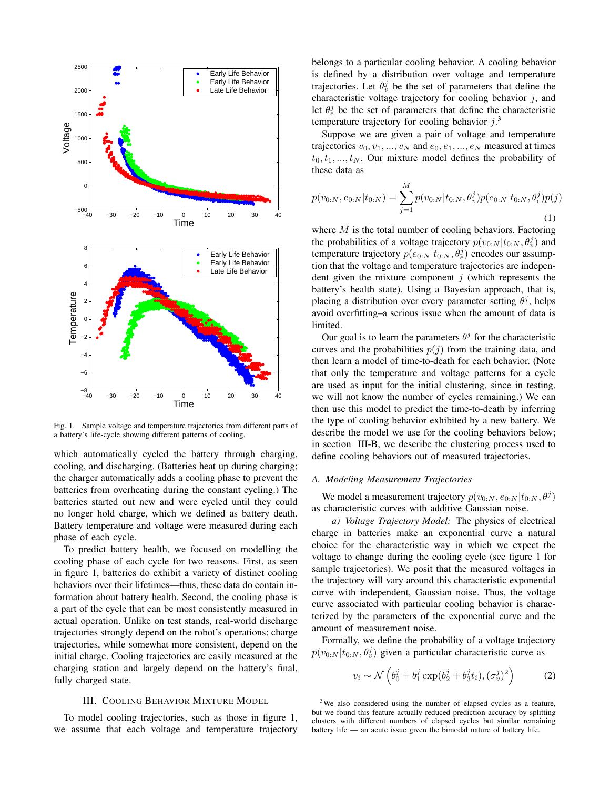

Fig. 1. Sample voltage and temperature trajectories from different parts of a battery's life-cycle showing different patterns of cooling.

which automatically cycled the battery through charging, cooling, and discharging. (Batteries heat up during charging; the charger automatically adds a cooling phase to prevent the batteries from overheating during the constant cycling.) The batteries started out new and were cycled until they could no longer hold charge, which we defined as battery death. Battery temperature and voltage were measured during each phase of each cycle.

To predict battery health, we focused on modelling the cooling phase of each cycle for two reasons. First, as seen in figure 1, batteries do exhibit a variety of distinct cooling behaviors over their lifetimes—thus, these data do contain information about battery health. Second, the cooling phase is a part of the cycle that can be most consistently measured in actual operation. Unlike on test stands, real-world discharge trajectories strongly depend on the robot's operations; charge trajectories, while somewhat more consistent, depend on the initial charge. Cooling trajectories are easily measured at the charging station and largely depend on the battery's final, fully charged state.

#### III. COOLING BEHAVIOR MIXTURE MODEL

To model cooling trajectories, such as those in figure 1, we assume that each voltage and temperature trajectory belongs to a particular cooling behavior. A cooling behavior is defined by a distribution over voltage and temperature trajectories. Let  $\theta_v^j$  be the set of parameters that define the characteristic voltage trajectory for cooling behavior *j*, and let  $\theta_e^j$  be the set of parameters that define the characteristic temperature trajectory for cooling behavior *j*. 3

Suppose we are given a pair of voltage and temperature trajectories  $v_0, v_1, \ldots, v_N$  and  $e_0, e_1, \ldots, e_N$  measured at times  $t_0, t_1, \ldots, t_N$ . Our mixture model defines the probability of these data as

$$
p(v_{0:N}, e_{0:N}|t_{0:N}) = \sum_{j=1}^{M} p(v_{0:N}|t_{0:N}, \theta_v^j) p(e_{0:N}|t_{0:N}, \theta_e^j) p(j)
$$
\n(1)

where *M* is the total number of cooling behaviors. Factoring the probabilities of a voltage trajectory  $p(v_{0:N}|t_{0:N}, \theta_v^j)$  and temperature trajectory  $p(e_{0:N}|t_{0:N}, \theta_e^j)$  encodes our assumption that the voltage and temperature trajectories are independent given the mixture component *j* (which represents the battery's health state). Using a Bayesian approach, that is, placing a distribution over every parameter setting *θ j* , helps avoid overfitting–a serious issue when the amount of data is limited.

Our goal is to learn the parameters  $\theta^j$  for the characteristic curves and the probabilities  $p(j)$  from the training data, and then learn a model of time-to-death for each behavior. (Note that only the temperature and voltage patterns for a cycle are used as input for the initial clustering, since in testing, we will not know the number of cycles remaining.) We can then use this model to predict the time-to-death by inferring the type of cooling behavior exhibited by a new battery. We describe the model we use for the cooling behaviors below; in section III-B, we describe the clustering process used to define cooling behaviors out of measured trajectories.

# *A. Modeling Measurement Trajectories*

We model a measurement trajectory  $p(v_{0:N}, e_{0:N}|t_{0:N}, \theta^j)$ as characteristic curves with additive Gaussian noise.

*a) Voltage Trajectory Model:* The physics of electrical charge in batteries make an exponential curve a natural choice for the characteristic way in which we expect the voltage to change during the cooling cycle (see figure 1 for sample trajectories). We posit that the measured voltages in the trajectory will vary around this characteristic exponential curve with independent, Gaussian noise. Thus, the voltage curve associated with particular cooling behavior is characterized by the parameters of the exponential curve and the amount of measurement noise.

Formally, we define the probability of a voltage trajectory  $p(v_{0:N}|t_{0:N}, \theta_v^j)$  given a particular characteristic curve as

$$
v_i \sim \mathcal{N}\left(b_0^j + b_1^j \exp(b_2^j + b_3^j t_i), (\sigma_v^j)^2\right) \tag{2}
$$

<sup>3</sup>We also considered using the number of elapsed cycles as a feature, but we found this feature actually reduced prediction accuracy by splitting clusters with different numbers of elapsed cycles but similar remaining battery life — an acute issue given the bimodal nature of battery life.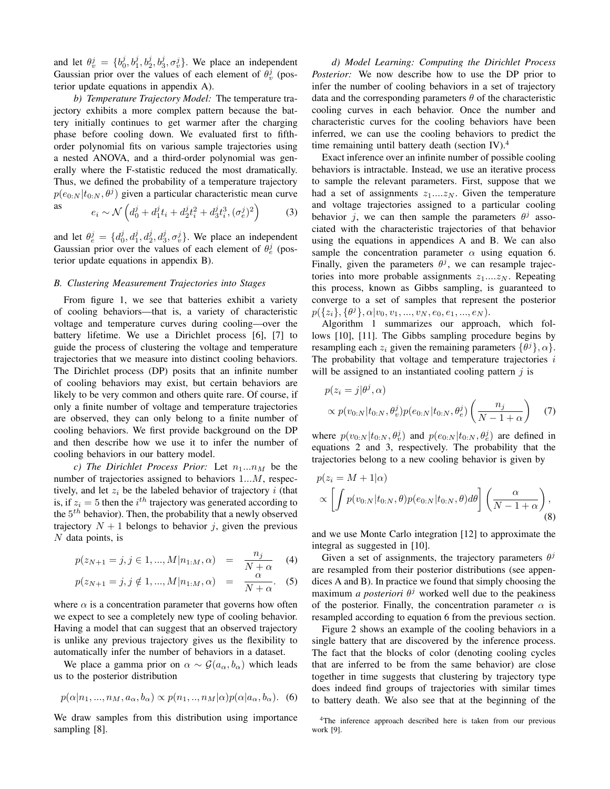and let  $\theta_v^j = \{b_0^j, b_1^j, b_2^j, b_3^j, \sigma_v^j\}$ . We place an independent Gaussian prior over the values of each element of  $\theta_v^j$  (posterior update equations in appendix A).

*b) Temperature Trajectory Model:* The temperature trajectory exhibits a more complex pattern because the battery initially continues to get warmer after the charging phase before cooling down. We evaluated first to fifthorder polynomial fits on various sample trajectories using a nested ANOVA, and a third-order polynomial was generally where the F-statistic reduced the most dramatically. Thus, we defined the probability of a temperature trajectory  $p(e_{0:N}|t_{0:N},\theta^j)$  given a particular characteristic mean curve as

$$
e_i \sim \mathcal{N}\left(d_0^j + d_1^j t_i + d_2^j t_i^2 + d_3^j t_i^3, (\sigma_e^j)^2\right) \tag{3}
$$

and let  $\theta_e^j = \{d_0^j, d_1^j, d_2^j, d_3^j, \sigma_v^j\}$ . We place an independent Gaussian prior over the values of each element of  $\theta_e^j$  (posterior update equations in appendix B).

#### *B. Clustering Measurement Trajectories into Stages*

From figure 1, we see that batteries exhibit a variety of cooling behaviors—that is, a variety of characteristic voltage and temperature curves during cooling—over the battery lifetime. We use a Dirichlet process [6], [7] to guide the process of clustering the voltage and temperature trajectories that we measure into distinct cooling behaviors. The Dirichlet process (DP) posits that an infinite number of cooling behaviors may exist, but certain behaviors are likely to be very common and others quite rare. Of course, if only a finite number of voltage and temperature trajectories are observed, they can only belong to a finite number of cooling behaviors. We first provide background on the DP and then describe how we use it to infer the number of cooling behaviors in our battery model.

*c)* The Dirichlet Process Prior: Let  $n_1...n_M$  be the number of trajectories assigned to behaviors 1*...M*, respectively, and let  $z_i$  be the labeled behavior of trajectory  $i$  (that is, if  $z_i = 5$  then the  $i^{th}$  trajectory was generated according to the 5 *th* behavior). Then, the probability that a newly observed trajectory  $N + 1$  belongs to behavior *j*, given the previous *N* data points, is

$$
p(z_{N+1} = j, j \in 1, ..., M | n_{1:M}, \alpha) = \frac{n_j}{N + \alpha} \quad (4)
$$

$$
p(z_{N+1} = j, j \notin 1, ..., M | n_{1:M}, \alpha) = \frac{\alpha}{N + \alpha}.
$$
 (5)

where  $\alpha$  is a concentration parameter that governs how often we expect to see a completely new type of cooling behavior. Having a model that can suggest that an observed trajectory is unlike any previous trajectory gives us the flexibility to automatically infer the number of behaviors in a dataset.

We place a gamma prior on  $\alpha \sim \mathcal{G}(a_{\alpha}, b_{\alpha})$  which leads us to the posterior distribution

$$
p(\alpha|n_1, ..., n_M, a_\alpha, b_\alpha) \propto p(n_1, ..., n_M|\alpha)p(\alpha|a_\alpha, b_\alpha).
$$
 (6)

We draw samples from this distribution using importance sampling [8].

*d) Model Learning: Computing the Dirichlet Process Posterior:* We now describe how to use the DP prior to infer the number of cooling behaviors in a set of trajectory data and the corresponding parameters *θ* of the characteristic cooling curves in each behavior. Once the number and characteristic curves for the cooling behaviors have been inferred, we can use the cooling behaviors to predict the time remaining until battery death (section IV).<sup>4</sup>

Exact inference over an infinite number of possible cooling behaviors is intractable. Instead, we use an iterative process to sample the relevant parameters. First, suppose that we had a set of assignments  $z_1...z_N$ . Given the temperature and voltage trajectories assigned to a particular cooling behavior *j*, we can then sample the parameters  $\theta^j$  associated with the characteristic trajectories of that behavior using the equations in appendices A and B. We can also sample the concentration parameter  $\alpha$  using equation 6. Finally, given the parameters  $\theta^j$ , we can resample trajectories into more probable assignments *z*1*....z<sup>N</sup>* . Repeating this process, known as Gibbs sampling, is guaranteed to converge to a set of samples that represent the posterior  $p(\{z_i\}, \{\theta^j\}, \alpha | v_0, v_1, ..., v_N, e_0, e_1, ..., e_N).$ 

Algorithm 1 summarizes our approach, which follows [10], [11]. The Gibbs sampling procedure begins by resampling each  $z_i$  given the remaining parameters  $\{\theta^j\}, \alpha\}.$ The probability that voltage and temperature trajectories *i* will be assigned to an instantiated cooling pattern *j* is

$$
p(z_i = j | \theta^j, \alpha)
$$
  
 
$$
\propto p(v_{0:N} | t_{0:N}, \theta_v^j) p(e_{0:N} | t_{0:N}, \theta_e^j) \left(\frac{n_j}{N - 1 + \alpha}\right)
$$
 (7)

where  $p(v_{0:N}|t_{0:N}, \theta_v^j)$  and  $p(e_{0:N}|t_{0:N}, \theta_e^j)$  are defined in equations 2 and 3, respectively. The probability that the trajectories belong to a new cooling behavior is given by

$$
p(z_i = M + 1 | \alpha)
$$
  
 
$$
\propto \left[ \int p(v_{0:N}|t_{0:N}, \theta) p(e_{0:N}|t_{0:N}, \theta) d\theta \right] \left( \frac{\alpha}{N - 1 + \alpha} \right),
$$
 (8)

and we use Monte Carlo integration [12] to approximate the integral as suggested in [10].

Given a set of assignments, the trajectory parameters  $\theta^j$ are resampled from their posterior distributions (see appendices A and B). In practice we found that simply choosing the maximum *a posteriori*  $\theta^j$  worked well due to the peakiness of the posterior. Finally, the concentration parameter  $\alpha$  is resampled according to equation 6 from the previous section.

Figure 2 shows an example of the cooling behaviors in a single battery that are discovered by the inference process. The fact that the blocks of color (denoting cooling cycles that are inferred to be from the same behavior) are close together in time suggests that clustering by trajectory type does indeed find groups of trajectories with similar times to battery death. We also see that at the beginning of the

<sup>4</sup>The inference approach described here is taken from our previous work [9].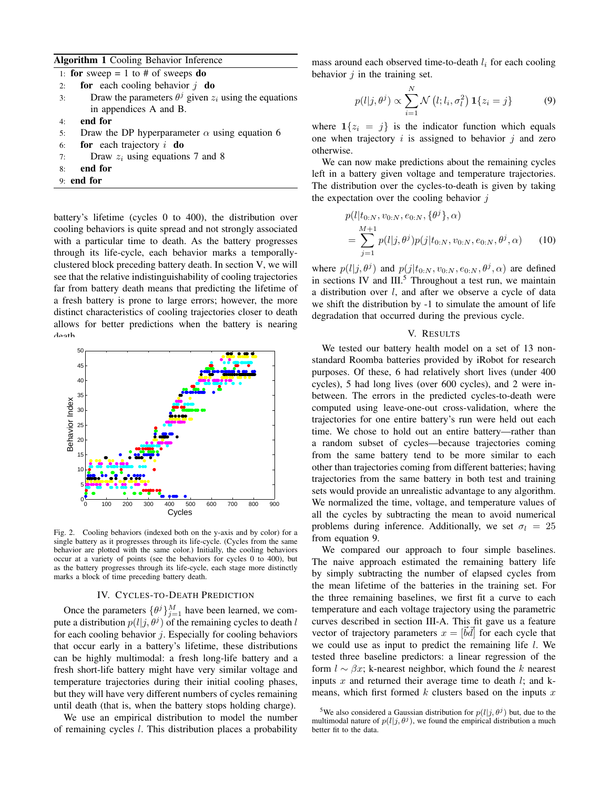### Algorithm 1 Cooling Behavior Inference

| 1: for sweep = 1 to # of sweeps do                                   |
|----------------------------------------------------------------------|
| <b>for</b> each cooling behavior $j$ <b>do</b><br>2:                 |
| Draw the parameters $\theta^j$ given $z_i$ using the equations<br>3: |
| in appendices A and B.                                               |
| end for<br>4:                                                        |
| Draw the DP hyperparameter $\alpha$ using equation 6<br>5:           |
| for each trajectory $i$ do<br>6:                                     |
| Draw $z_i$ using equations 7 and 8<br>7:                             |
| end for<br>8:                                                        |
| $9:$ end for                                                         |

battery's lifetime (cycles 0 to 400), the distribution over cooling behaviors is quite spread and not strongly associated with a particular time to death. As the battery progresses through its life-cycle, each behavior marks a temporallyclustered block preceding battery death. In section V, we will see that the relative indistinguishability of cooling trajectories far from battery death means that predicting the lifetime of a fresh battery is prone to large errors; however, the more distinct characteristics of cooling trajectories closer to death allows for better predictions when the battery is nearing death.



Fig. 2. Cooling behaviors (indexed both on the y-axis and by color) for a single battery as it progresses through its life-cycle. (Cycles from the same behavior are plotted with the same color.) Initially, the cooling behaviors occur at a variety of points (see the behaviors for cycles 0 to 400), but as the battery progresses through its life-cycle, each stage more distinctly marks a block of time preceding battery death.

#### IV. CYCLES-TO-DEATH PREDICTION

Once the parameters  $\{\theta^j\}_{j=1}^M$  have been learned, we compute a distribution  $p(l|j, \theta^j)$  of the remaining cycles to death *l* for each cooling behavior *j*. Especially for cooling behaviors that occur early in a battery's lifetime, these distributions can be highly multimodal: a fresh long-life battery and a fresh short-life battery might have very similar voltage and temperature trajectories during their initial cooling phases, but they will have very different numbers of cycles remaining until death (that is, when the battery stops holding charge).

We use an empirical distribution to model the number of remaining cycles *l*. This distribution places a probability mass around each observed time-to-death *l<sup>i</sup>* for each cooling behavior *j* in the training set.

$$
p(l|j, \theta^j) \propto \sum_{i=1}^N \mathcal{N}\left(l; l_i, \sigma_l^2\right) \mathbf{1}\{z_i = j\}
$$
 (9)

where  $1\{z_i = j\}$  is the indicator function which equals one when trajectory *i* is assigned to behavior *j* and zero otherwise.

We can now make predictions about the remaining cycles left in a battery given voltage and temperature trajectories. The distribution over the cycles-to-death is given by taking the expectation over the cooling behavior *j*

$$
p(l|t_{0:N}, v_{0:N}, e_{0:N}, {\theta^j}, \alpha)
$$
  
= 
$$
\sum_{j=1}^{M+1} p(l|j, \theta^j) p(j|t_{0:N}, v_{0:N}, e_{0:N}, \theta^j, \alpha)
$$
 (10)

where  $p(l|j, \theta^j)$  and  $p(j|t_{0:N}, v_{0:N}, e_{0:N}, \theta^j, \alpha)$  are defined in sections IV and  $III<sup>5</sup>$ . Throughout a test run, we maintain a distribution over *l*, and after we observe a cycle of data we shift the distribution by -1 to simulate the amount of life degradation that occurred during the previous cycle.

#### V. RESULTS

We tested our battery health model on a set of 13 nonstandard Roomba batteries provided by iRobot for research purposes. Of these, 6 had relatively short lives (under 400 cycles), 5 had long lives (over 600 cycles), and 2 were inbetween. The errors in the predicted cycles-to-death were computed using leave-one-out cross-validation, where the trajectories for one entire battery's run were held out each time. We chose to hold out an entire battery—rather than a random subset of cycles—because trajectories coming from the same battery tend to be more similar to each other than trajectories coming from different batteries; having trajectories from the same battery in both test and training sets would provide an unrealistic advantage to any algorithm. We normalized the time, voltage, and temperature values of all the cycles by subtracting the mean to avoid numerical problems during inference. Additionally, we set  $\sigma_l = 25$ from equation 9.

We compared our approach to four simple baselines. The naive approach estimated the remaining battery life by simply subtracting the number of elapsed cycles from the mean lifetime of the batteries in the training set. For the three remaining baselines, we first fit a curve to each temperature and each voltage trajectory using the parametric curves described in section III-A. This fit gave us a feature vector of trajectory parameters  $x = [\vec{b}\vec{d}]$  for each cycle that we could use as input to predict the remaining life *l*. We tested three baseline predictors: a linear regression of the form  $l \sim \beta x$ ; k-nearest neighbor, which found the *k* nearest inputs *x* and returned their average time to death *l*; and kmeans, which first formed *k* clusters based on the inputs *x*

<sup>&</sup>lt;sup>5</sup>We also considered a Gaussian distribution for  $p(l|j, \theta^j)$  but, due to the multimodal nature of  $p(l|j, \theta^j)$ , we found the empirical distribution a much better fit to the data.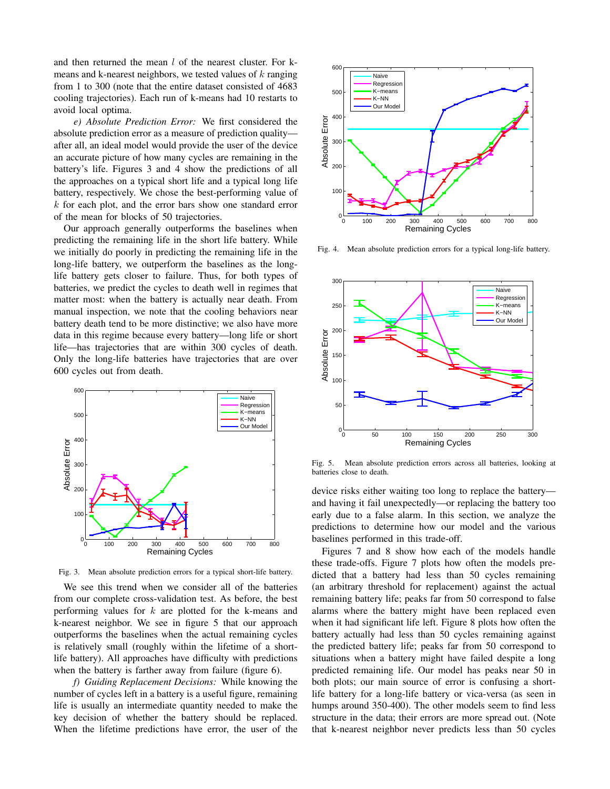and then returned the mean *l* of the nearest cluster. For kmeans and k-nearest neighbors, we tested values of *k* ranging from 1 to 300 (note that the entire dataset consisted of 4683 cooling trajectories). Each run of k-means had 10 restarts to avoid local optima.

*e) Absolute Prediction Error:* We first considered the absolute prediction error as a measure of prediction quality after all, an ideal model would provide the user of the device an accurate picture of how many cycles are remaining in the battery's life. Figures 3 and 4 show the predictions of all the approaches on a typical short life and a typical long life battery, respectively. We chose the best-performing value of *k* for each plot, and the error bars show one standard error of the mean for blocks of 50 trajectories.

Our approach generally outperforms the baselines when predicting the remaining life in the short life battery. While we initially do poorly in predicting the remaining life in the long-life battery, we outperform the baselines as the longlife battery gets closer to failure. Thus, for both types of batteries, we predict the cycles to death well in regimes that matter most: when the battery is actually near death. From manual inspection, we note that the cooling behaviors near battery death tend to be more distinctive; we also have more data in this regime because every battery—long life or short life—has trajectories that are within 300 cycles of death. Only the long-life batteries have trajectories that are over 600 cycles out from death.



Fig. 3. Mean absolute prediction errors for a typical short-life battery.

We see this trend when we consider all of the batteries from our complete cross-validation test. As before, the best performing values for *k* are plotted for the k-means and k-nearest neighbor. We see in figure 5 that our approach outperforms the baselines when the actual remaining cycles is relatively small (roughly within the lifetime of a shortlife battery). All approaches have difficulty with predictions when the battery is farther away from failure (figure 6).

*f) Guiding Replacement Decisions:* While knowing the number of cycles left in a battery is a useful figure, remaining life is usually an intermediate quantity needed to make the key decision of whether the battery should be replaced. When the lifetime predictions have error, the user of the



Fig. 4. Mean absolute prediction errors for a typical long-life battery.



Fig. 5. Mean absolute prediction errors across all batteries, looking at batteries close to death.

device risks either waiting too long to replace the battery and having it fail unexpectedly—or replacing the battery too early due to a false alarm. In this section, we analyze the predictions to determine how our model and the various baselines performed in this trade-off.

Figures 7 and 8 show how each of the models handle these trade-offs. Figure 7 plots how often the models predicted that a battery had less than 50 cycles remaining (an arbitrary threshold for replacement) against the actual remaining battery life; peaks far from 50 correspond to false alarms where the battery might have been replaced even when it had significant life left. Figure 8 plots how often the battery actually had less than 50 cycles remaining against the predicted battery life; peaks far from 50 correspond to situations when a battery might have failed despite a long predicted remaining life. Our model has peaks near 50 in both plots; our main source of error is confusing a shortlife battery for a long-life battery or vica-versa (as seen in humps around 350-400). The other models seem to find less structure in the data; their errors are more spread out. (Note that k-nearest neighbor never predicts less than 50 cycles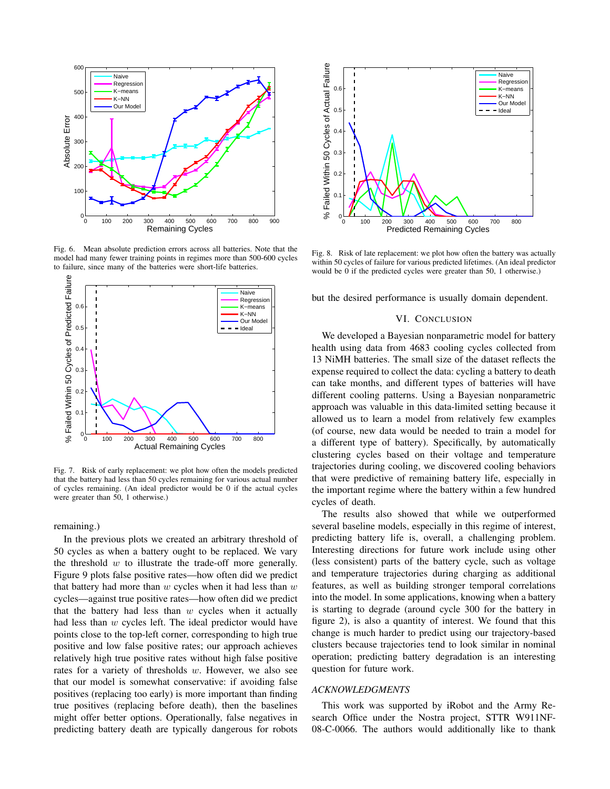

Fig. 6. Mean absolute prediction errors across all batteries. Note that the model had many fewer training points in regimes more than 500-600 cycles to failure, since many of the batteries were short-life batteries.



Fig. 7. Risk of early replacement: we plot how often the models predicted that the battery had less than 50 cycles remaining for various actual number of cycles remaining. (An ideal predictor would be 0 if the actual cycles were greater than 50, 1 otherwise.)

remaining.)

In the previous plots we created an arbitrary threshold of 50 cycles as when a battery ought to be replaced. We vary the threshold *w* to illustrate the trade-off more generally. Figure 9 plots false positive rates—how often did we predict that battery had more than *w* cycles when it had less than *w* cycles—against true positive rates—how often did we predict that the battery had less than *w* cycles when it actually had less than *w* cycles left. The ideal predictor would have points close to the top-left corner, corresponding to high true positive and low false positive rates; our approach achieves relatively high true positive rates without high false positive rates for a variety of thresholds *w*. However, we also see that our model is somewhat conservative: if avoiding false positives (replacing too early) is more important than finding true positives (replacing before death), then the baselines might offer better options. Operationally, false negatives in predicting battery death are typically dangerous for robots



Fig. 8. Risk of late replacement: we plot how often the battery was actually within 50 cycles of failure for various predicted lifetimes. (An ideal predictor would be 0 if the predicted cycles were greater than 50, 1 otherwise.)

but the desired performance is usually domain dependent.

### VI. CONCLUSION

We developed a Bayesian nonparametric model for battery health using data from 4683 cooling cycles collected from 13 NiMH batteries. The small size of the dataset reflects the expense required to collect the data: cycling a battery to death can take months, and different types of batteries will have different cooling patterns. Using a Bayesian nonparametric approach was valuable in this data-limited setting because it allowed us to learn a model from relatively few examples (of course, new data would be needed to train a model for a different type of battery). Specifically, by automatically clustering cycles based on their voltage and temperature trajectories during cooling, we discovered cooling behaviors that were predictive of remaining battery life, especially in the important regime where the battery within a few hundred cycles of death.

The results also showed that while we outperformed several baseline models, especially in this regime of interest, predicting battery life is, overall, a challenging problem. Interesting directions for future work include using other (less consistent) parts of the battery cycle, such as voltage and temperature trajectories during charging as additional features, as well as building stronger temporal correlations into the model. In some applications, knowing when a battery is starting to degrade (around cycle 300 for the battery in figure 2), is also a quantity of interest. We found that this change is much harder to predict using our trajectory-based clusters because trajectories tend to look similar in nominal operation; predicting battery degradation is an interesting question for future work.

## *ACKNOWLEDGMENTS*

This work was supported by iRobot and the Army Research Office under the Nostra project, STTR W911NF-08-C-0066. The authors would additionally like to thank